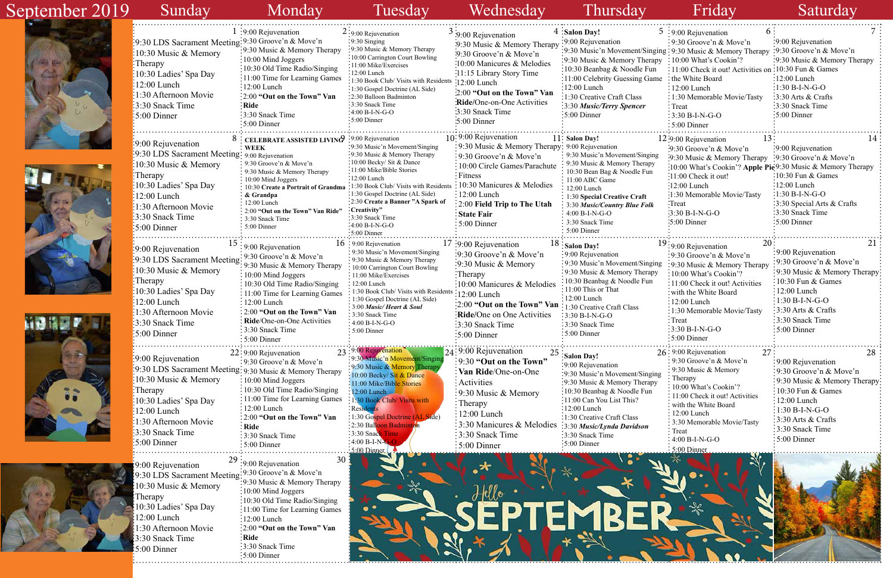



9:00 Rejuvenation

|    | 5 :9:00 Rejuvenation<br>6                                    |                              |
|----|--------------------------------------------------------------|------------------------------|
|    | 9:30 Groove'n & Move'n                                       | 9:00 Rejuvenation            |
|    | $\sin g$ : 9:30 Music & Memory Therapy                       | $: 9:30$ Groove'n & Move'n   |
| οу | : 10:00 What's Cookin'?                                      | 9:30 Music & Memory Therapy  |
|    | 11:00 Check it out! Activities on :10:30 Fun & Games         |                              |
| ne | the White Board:                                             | $12:00$ Lunch                |
|    | $: 12:00$ Lunch                                              | $1:30 B-I-N-G-O$             |
|    | 1:30 Memorable Movie/Tasty                                   | 3:30 Arts & Crafts           |
|    | Treat                                                        | 3:30 Snack Time              |
|    | $3:30 B-I-N-G-O$                                             | 5:00 Dinner                  |
|    | 5:00 Dinner                                                  |                              |
|    |                                                              |                              |
|    | 13<br>12:9:00 Rejuvenation                                   | 14                           |
|    | $:9:30$ Groove'n & Move'n                                    | 9:00 Rejuvenation            |
| g  | $\cdot 9:30$ Music & Memory Therapy                          | 9:30 Groove'n & Move'n       |
|    | :10:00 What's Cookin'? Apple Pie 9:30 Music & Memory Therapy |                              |
|    | 11:00 Check it out!                                          | 10:30 Fun & Games            |
|    | $:12:00$ Lunch                                               | $12:00$ Lunch                |
|    | :1:30 Memorable Movie/Tasty                                  | $1:30 B-I-N-G-O$             |
|    | :Treat                                                       | 3:30 Special Arts & Crafts   |
|    | $3:30 B-I-N-G-O$                                             | 3:30 Snack Time              |
|    | $:5:00$ Dinner                                               | 5:00 Dinner                  |
|    |                                                              |                              |
|    | $19:9:00$ Rejuvenation<br>20                                 | 21                           |
|    | $9:30$ Groove'n & Move'n                                     | 9:00 Rejuvenation            |
| ng | :9:30 Music & Memory Therapy                                 | 9:30 Groove'n & Move'n       |
|    | 10:00 What's Cookin'?                                        | 9:30 Music & Memory Therapy  |
|    | 11:00 Check it out! Activities                               | 10:30 Fun & Games            |
|    | with the White Board                                         | 12:00 Lunch                  |
|    | $12:00$ Lunch                                                | $1:30 B-I-N-G-O$             |
|    | 1:30 Memorable Movie/Tasty                                   | 3:30 Arts & Crafts           |
|    | · Treat                                                      | 3:30 Snack Time              |
|    | 3:30 B-I-N-G-O                                               | 5:00 Dinner                  |
|    | 5:00 Dinner                                                  |                              |
|    |                                                              |                              |
|    | 27<br>26: 9:00 Rejuvenation                                  | 28                           |
|    | 9:30 Groove'n & Move'n                                       | 9:00 Rejuvenation            |
| ıg | 9:30 Music & Memory                                          | 9:30 Groove'n & Move'n       |
|    | Therapy                                                      | 9:30 Music & Memory Therapy: |
|    | 10:00 What's Cookin'?                                        | 10:30 Fun & Games            |
|    | 11:00 Check it out! Activities                               | 12:00 Lunch                  |
|    | with the White Board                                         | 1:30 B-I-N-G-O               |
|    | 12:00 Lunch                                                  | 3:30 Arts & Crafts           |
|    | 3:30 Memorable Movie/Tasty                                   | 3:30 Snack Time              |
|    | Treat<br>$4:00 B-I-N-G-O$                                    | 5:00 Dinner                  |
|    |                                                              |                              |
|    | : $5.00$ Dinner                                              |                              |

10:30 Music & Memory

Therapy

10:30 Ladies' Spa Day

12:00 Lunch

9:30 LDS Sacrament Meeting:

1:30 Afternoon Movie 3:30 Snack Time 5:00 Dinner

### Sunday Monday Tuesday Wednesday Thursday Friday Saturday  $1:9:00$  Rejuvenation  $2:9:00$  Rejuvenation  $3:9:00$  Rejuvenation  $3:9:00$  Rejuvenation  $4:8$  alon Day!  $5:9:00$  Rejuvenation  $6:7$ 8 ELEBRATE ASSISTED LIVING **10** 10:9:00 Rejuvenation **10:9:00 Reversion 10:9:00 Reversion 11:** Salon Day! **12:9:00 Rejuvenation 13:**  $16 \frac{15}{1900}$  Rejuvenation  $16 \frac{15}{1900}$  Rejuvenation  $16 \frac{1900}{17}$   $17 \frac{9}{1900}$  Rejuvenation  $18 \frac{1}{1800}$  Day!  $22:9:00$  Rejuvenation  $23:9:00$  Rejuvenation  $23:9:00$  Rejuvenation  $24:9:00$  Rejuvenation  $25:$ Salon Day!  $25:$ Salon Day!  $26:9:00$  Rejuvenation  $27:$ **WEEK** 9:30 LDS Sacrament Meeting: 9:00 Rejuvenation 9:30 Groove'n & Move'n 9:30 Music & Memory Therapy 10:00 Mind Joggers 10:30 **Create a Portrait of Grandma & Grandpa** 12:00 Lunch 2:00 **"Out on the Town" Van Ride"** 3:30 Snack Time 5:00 Dinner 9:00 Rejuvenation  $:10:30$  Music & Memory Therapy 10:30 Ladies' Spa Day 12:00 Lunch 1:30 Afternoon Movie 3:30 Snack Time 5:00 Dinner 9:30 Music'n Movement/Singing 9:30 Music & Memory Therapy 10:00 Becky/ Sit & Dance 11:00 Mike/Bible Stories 12:00 Lunch 1:30 Book Club/ Visits with Resident 1:30 Gospel Doctrine (AL Side) 2:30 **Create a Banner "A Spark of Creativity"** 3:30 Snack Time .<br>:4:00 B-I-N-G-O 5:00 Dinner  $16:9:00$  Rejuvenation 9:30 Music'n Movement/Singing 9:30 Music & Memory Therapy 10:00 Carrington Court Bowling 11:00 Mike/Exercises 12:00 Lunch 1:30 Book Club/ Visits with Reside 1:30 Gospel Doctrine (AL Side) 3:00 *Music/ Heart & Soul* 3:30 Snack Time 4:00 B-I-N-G-O 5:00 Dinner 18 : Salon Day! 9:00 Rejuvenation  $\frac{1}{2}$ 9:30 Music'n Movement/Singing 9:30 Music & Memory Therapy 10:30 Beanbag & Noodle Fun 11:00 This or That  $\frac{1}{2}$ :12:00 Lunch 1:30 Creative Craft Class 3:30 B-I-N-G-O 3:30 Snack Time 5:00 Dinner 11: Salon Day! 9:30 Music & Memory Therapy: 9:00 Rejuvenation 9:30 Music'n Movement/Singin 9:30 Music & Memory Therapy 10:30 Bean Bag & Noodle Fun 11:00 ABC Game 12:00 Lunch 1:30 **Special Creative Craft**  3:30 *Music/Country Blue Folk* 4:00 B-I-N-G-O 3:30 Snack Time 5:00 Dinner 9:00 Rejuvenation 9:30 LDS Sacrament Meeting 9:30 Music & Memory Therapy  $:10:30$  Music & Memory Therapy 10:30 Ladies' Spa Day  $:12:00$  Lunch 1:30 Afternoon Movie 3:30 Snack Time 5:00 Dinner 9:00 Rejuvenation 9:30 LDS Sacrament Meeting 10:30 Music & Memory :Therapy 10:30 Ladies' Spa Day 12:00 Lunch 1:30 Afternoon Movie 3:30 Snack Time 5:00 Dinner 17 :9:00 Rejuvenation 9:30 Groove'n & Move'n 9:30 Music & Memory Therapy 10:00 Manicures & Melodies 12:00 Lunch 2:00 **"Out on the Town" Van Ride/**One on One Activities 3:30 Snack Time 5:00 Dinner  $15:9:00$  Rejuvenation 9:30 Groove'n & Move'n 9:30 Music & Memory Therapy 10:00 Mind Joggers 10:30 Old Time Radio/Singing : 11:00 Time for Learning Games : 12:00 Lunch 2:00 **"Out on the Town" Van Ride**/One-on-One Activities 3:30 Snack Time  $\frac{1}{2}$ 5:00 Dinner  $\frac{29}{29}$ :9:00 Rejuvenation 30  $22:9:00$  Rejuvenation 9:30 Groove'n & Move'n 10:00 Mind Joggers 10:30 Old Time Radio/Singing 11:00 Time for Learning Games : 12:00 Lunch 2:00 **"Out on the Town" Van Ride** 3:30 Snack Time 5:00 Dinner 10<sup>: 9:00</sup> Rejuvenation 9:30 Groove'n & Move'n 10:00 Circle Games/Parachute Fitness 10:30 Manicures & Melodies 12:00 Lunch 2:00 **Field Trip to The Utah State Fair** 5:00 Dinner 24:9:00 Rejuvenation 9:30 **"Out on the Town" Van Ride**/One-on-One Activities 9:30 Music & Memory Therapy 12:00 Lunch 3:30 Manicures & Melodies 3:30 Snack Time 5:00 Dinner September 2019 **Salon Day!** 9:00 Rejuvenation :9:30 Music'n Movement/Singin 9:30 Music & Memory Therapy 10:30 Beanbag & Noodle Fun 11:00 Can You List This? 12:00 Lunch 1:30 Creative Craft Class 3:30 *Music/Lynda Davidson* 3:30 Snack Time 5:00 Dinner **Salon Day!**  9:00 Rejuvenation  $\frac{1}{2}$ 9:30 Music'n Movement/Singi :9:30 Music & Memory Therap 10:30 Beanbag & Noodle Fun 11:00 Celebrity Guessing Gan 12:00 Lunch 1:30 Creative Craft Class 3:30 *Music/Terry Spencer* 5:00 Dinner 23:9:00 Rejuvenation 9:30 Music'n Movement/Singin 9:30 Music & Memory Therap  $\frac{1}{2}10:00$  Becky/ Sit & Dance <sup>:</sup> 11:00 Mike/Bible Stories 12:00 Lunch 1:30 Book Club/ Visits with  $:$  Resid 1:30 Gospel Doctrine (AL Side) : 2:30 Balloon Badmint  $: 3:30$  Snack  $:4:00 B-I-N$ 5:00 Din 9:30 LDS Sacrament Meeting 9:30 Groove'n & Move'n 10:30 Music & Memory Therapy 10:30 Ladies' Spa Day 12:00 Lunch 1:30 Afternoon Movie 3:30 Snack Time 5:00 Dinner 1 :9:00 Rejuvenation 9:30 Music & Memory Therapy 10:00 Mind Joggers 10:30 Old Time Radio/Singing 11:00 Time for Learning Games 12:00 Lunch 2:00 **"Out on the Town" Van Ride** 3:30 Snack Time 5:00 Dinner  $2:9:00$  Rejuvenation 9:30 Singing 9:30 Music & Memory Therapy : 10:00 Carrington Court Bowling : 11:00 Mike/Exercises 12:00 Lunch 1:30 Book Club/ Visits with Residents 1:30 Gospel Doctrine (AL Side) 2:30 Balloon Badminton 3:30 Snack Time 4:00 B-I-N-G-O 5:00 Dinner  $3:9:00$  Rejuvenation 9:30 Music & Memory Therapy 9:30 Groove'n & Move'n 10:00 Manicures & Melodies 11:15 Library Story Time 12:00 Lunch 2:00 **"Out on the Town" Van Ride/**One-on-One Activities 3:30 Snack Time 5:00 Dinner



9:30 Groove'n & Move'n 9:30 Music & Memory Therapy 10:00 Mind Joggers 10:30 Old Time Radio/Singing 11:00 Time for Learning Games  $\frac{1}{2}$ :00 Lunch 2:00 **"Out on the Town" Van**  3:30 Snack Time 5:00 Dinner

**Ride**